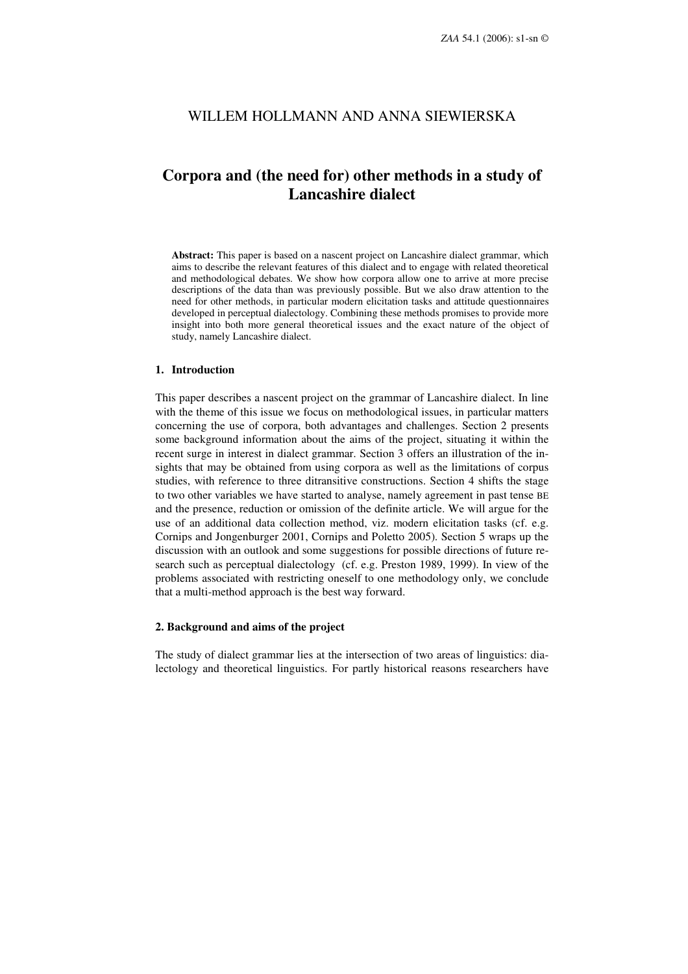## WILLEM HOLLMANN AND ANNA SIEWIERSKA

# **Corpora and (the need for) other methods in a study of Lancashire dialect**

**Abstract:** This paper is based on a nascent project on Lancashire dialect grammar, which aims to describe the relevant features of this dialect and to engage with related theoretical and methodological debates. We show how corpora allow one to arrive at more precise descriptions of the data than was previously possible. But we also draw attention to the need for other methods, in particular modern elicitation tasks and attitude questionnaires developed in perceptual dialectology. Combining these methods promises to provide more insight into both more general theoretical issues and the exact nature of the object of study, namely Lancashire dialect.

## **1. Introduction**

This paper describes a nascent project on the grammar of Lancashire dialect. In line with the theme of this issue we focus on methodological issues, in particular matters concerning the use of corpora, both advantages and challenges. Section 2 presents some background information about the aims of the project, situating it within the recent surge in interest in dialect grammar. Section 3 offers an illustration of the insights that may be obtained from using corpora as well as the limitations of corpus studies, with reference to three ditransitive constructions. Section 4 shifts the stage to two other variables we have started to analyse, namely agreement in past tense BE and the presence, reduction or omission of the definite article. We will argue for the use of an additional data collection method, viz. modern elicitation tasks (cf. e.g. Cornips and Jongenburger 2001, Cornips and Poletto 2005). Section 5 wraps up the discussion with an outlook and some suggestions for possible directions of future research such as perceptual dialectology (cf. e.g. Preston 1989, 1999). In view of the problems associated with restricting oneself to one methodology only, we conclude that a multi-method approach is the best way forward.

## **2. Background and aims of the project**

The study of dialect grammar lies at the intersection of two areas of linguistics: dialectology and theoretical linguistics. For partly historical reasons researchers have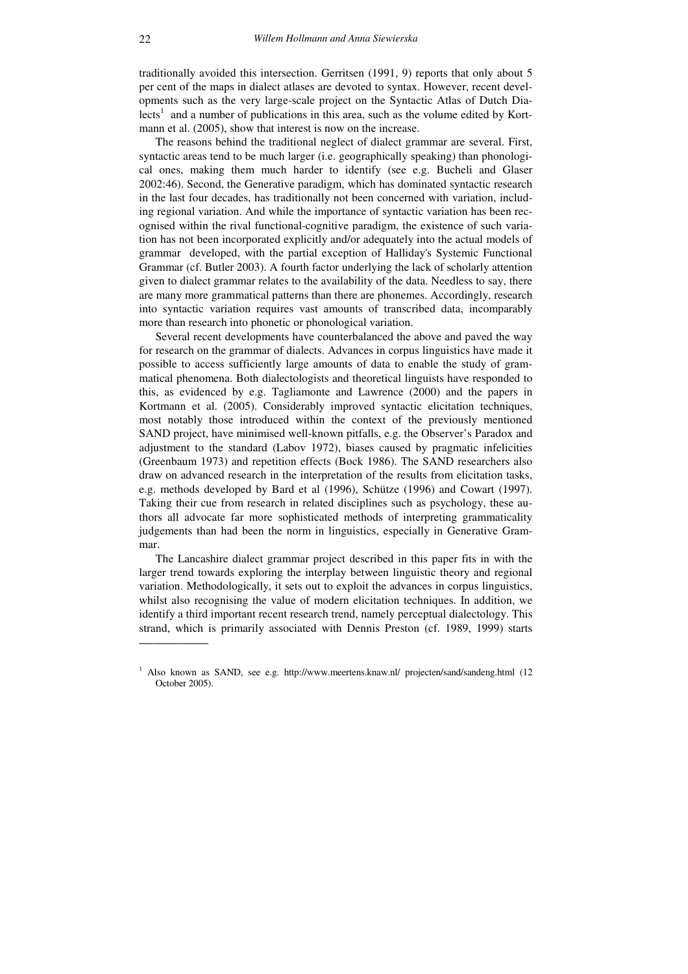traditionally avoided this intersection. Gerritsen (1991, 9) reports that only about 5 per cent of the maps in dialect atlases are devoted to syntax. However, recent developments such as the very large-scale project on the Syntactic Atlas of Dutch Dia $lects<sup>1</sup>$  and a number of publications in this area, such as the volume edited by Kortmann et al.  $(2005)$ , show that interest is now on the increase.

The reasons behind the traditional neglect of dialect grammar are several. First, syntactic areas tend to be much larger (i.e. geographically speaking) than phonological ones, making them much harder to identify (see e.g. Bucheli and Glaser 2002:46). Second, the Generative paradigm, which has dominated syntactic research in the last four decades, has traditionally not been concerned with variation, including regional variation. And while the importance of syntactic variation has been recognised within the rival functional-cognitive paradigm, the existence of such variation has not been incorporated explicitly and/or adequately into the actual models of grammar developed, with the partial exception of Halliday's Systemic Functional Grammar (cf. Butler 2003). A fourth factor underlying the lack of scholarly attention given to dialect grammar relates to the availability of the data. Needless to say, there are many more grammatical patterns than there are phonemes. Accordingly, research into syntactic variation requires vast amounts of transcribed data, incomparably more than research into phonetic or phonological variation.

Several recent developments have counterbalanced the above and paved the way for research on the grammar of dialects. Advances in corpus linguistics have made it possible to access sufficiently large amounts of data to enable the study of grammatical phenomena. Both dialectologists and theoretical linguists have responded to this, as evidenced by e.g. Tagliamonte and Lawrence (2000) and the papers in Kortmann et al. (2005). Considerably improved syntactic elicitation techniques, most notably those introduced within the context of the previously mentioned SAND project, have minimised well-known pitfalls, e.g. the Observer's Paradox and adjustment to the standard (Labov 1972), biases caused by pragmatic infelicities (Greenbaum 1973) and repetition effects (Bock 1986). The SAND researchers also draw on advanced research in the interpretation of the results from elicitation tasks, e.g. methods developed by Bard et al (1996), Schütze (1996) and Cowart (1997). Taking their cue from research in related disciplines such as psychology, these authors all advocate far more sophisticated methods of interpreting grammaticality judgements than had been the norm in linguistics, especially in Generative Grammar.

The Lancashire dialect grammar project described in this paper fits in with the larger trend towards exploring the interplay between linguistic theory and regional variation. Methodologically, it sets out to exploit the advances in corpus linguistics, whilst also recognising the value of modern elicitation techniques. In addition, we identify a third important recent research trend, namely perceptual dialectology. This strand, which is primarily associated with Dennis Preston (cf. 1989, 1999) starts

—————

<sup>&</sup>lt;sup>1</sup> Also known as SAND, see e.g. http://www.meertens.knaw.nl/ projecten/sand/sandeng.html (12 October 2005).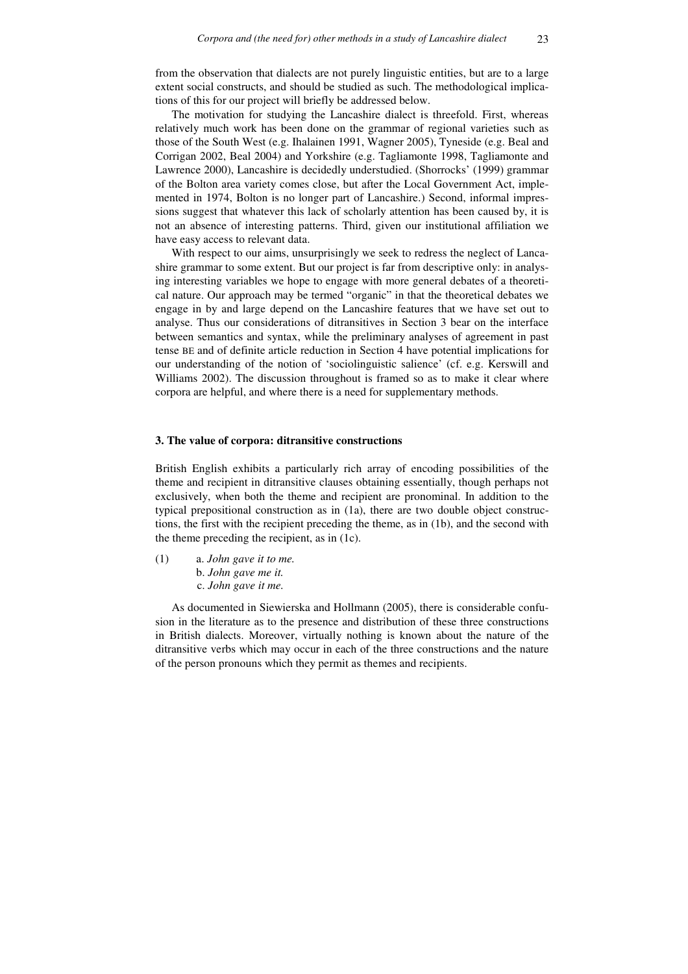from the observation that dialects are not purely linguistic entities, but are to a large extent social constructs, and should be studied as such. The methodological implications of this for our project will briefly be addressed below.

The motivation for studying the Lancashire dialect is threefold. First, whereas relatively much work has been done on the grammar of regional varieties such as those of the South West (e.g. Ihalainen 1991, Wagner 2005), Tyneside (e.g. Beal and Corrigan 2002, Beal 2004) and Yorkshire (e.g. Tagliamonte 1998, Tagliamonte and Lawrence 2000), Lancashire is decidedly understudied. (Shorrocks' (1999) grammar of the Bolton area variety comes close, but after the Local Government Act, implemented in 1974, Bolton is no longer part of Lancashire.) Second, informal impressions suggest that whatever this lack of scholarly attention has been caused by, it is not an absence of interesting patterns. Third, given our institutional affiliation we have easy access to relevant data.

With respect to our aims, unsurprisingly we seek to redress the neglect of Lancashire grammar to some extent. But our project is far from descriptive only: in analysing interesting variables we hope to engage with more general debates of a theoretical nature. Our approach may be termed "organic" in that the theoretical debates we engage in by and large depend on the Lancashire features that we have set out to analyse. Thus our considerations of ditransitives in Section 3 bear on the interface between semantics and syntax, while the preliminary analyses of agreement in past tense BE and of definite article reduction in Section 4 have potential implications for our understanding of the notion of 'sociolinguistic salience' (cf. e.g. Kerswill and Williams 2002). The discussion throughout is framed so as to make it clear where corpora are helpful, and where there is a need for supplementary methods.

#### **3. The value of corpora: ditransitive constructions**

British English exhibits a particularly rich array of encoding possibilities of the theme and recipient in ditransitive clauses obtaining essentially, though perhaps not exclusively, when both the theme and recipient are pronominal. In addition to the typical prepositional construction as in (1a), there are two double object constructions, the first with the recipient preceding the theme, as in (1b), and the second with the theme preceding the recipient, as in (1c).

(1) a. *John gave it to me.* b. *John gave me it.* c. *John gave it me.*

As documented in Siewierska and Hollmann (2005), there is considerable confusion in the literature as to the presence and distribution of these three constructions in British dialects. Moreover, virtually nothing is known about the nature of the ditransitive verbs which may occur in each of the three constructions and the nature of the person pronouns which they permit as themes and recipients.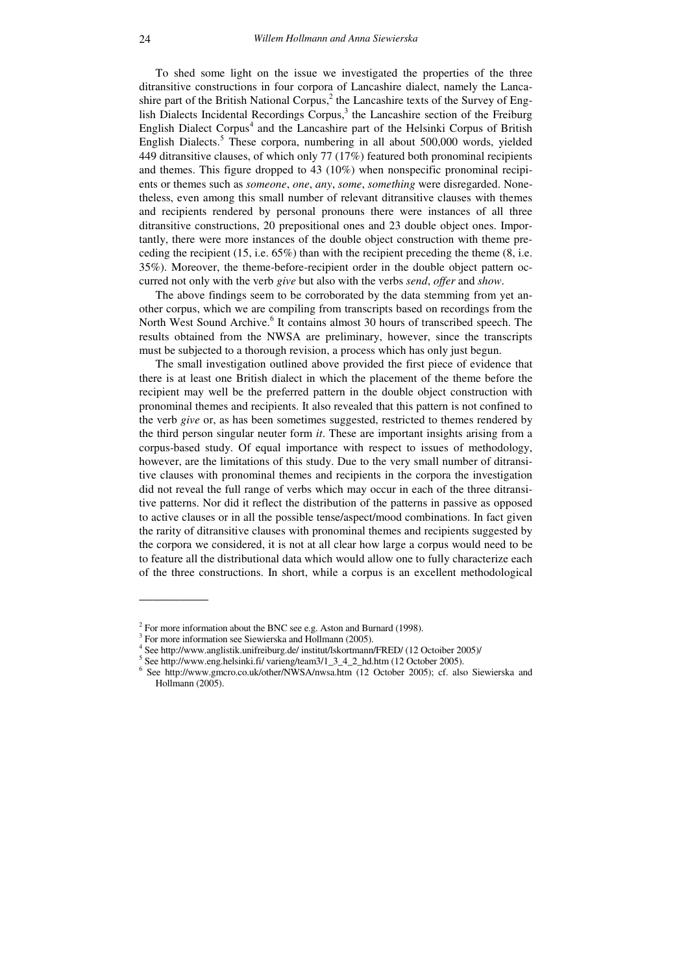To shed some light on the issue we investigated the properties of the three ditransitive constructions in four corpora of Lancashire dialect, namely the Lancashire part of the British National Corpus,<sup>2</sup> the Lancashire texts of the Survey of English Dialects Incidental Recordings Corpus,<sup>3</sup> the Lancashire section of the Freiburg English Dialect Corpus 4 and the Lancashire part of the Helsinki Corpus of British English Dialects. <sup>5</sup> These corpora, numbering in all about 500,000 words, yielded 449 ditransitive clauses, of which only 77 (17%) featured both pronominal recipients and themes. This figure dropped to 43 (10%) when nonspecific pronominal recipients or themes such as *someone*, *one*, *any*, *some*, *something* were disregarded. Nonetheless, even among this small number of relevant ditransitive clauses with themes and recipients rendered by personal pronouns there were instances of all three ditransitive constructions, 20 prepositional ones and 23 double object ones. Importantly, there were more instances of the double object construction with theme preceding the recipient (15, i.e.  $65\%$ ) than with the recipient preceding the theme (8, i.e. 35%). Moreover, the theme-before-recipient order in the double object pattern occurred not only with the verb *give* but also with the verbs *send*, *offer* and *show*.

The above findings seem to be corroborated by the data stemming from yet another corpus, which we are compiling from transcripts based on recordings from the North West Sound Archive.<sup>6</sup> It contains almost 30 hours of transcribed speech. The results obtained from the NWSA are preliminary, however, since the transcripts must be subjected to a thorough revision, a process which has only just begun.

The small investigation outlined above provided the first piece of evidence that there is at least one British dialect in which the placement of the theme before the recipient may well be the preferred pattern in the double object construction with pronominal themes and recipients. It also revealed that this pattern is not confined to the verb *give* or, as has been sometimes suggested, restricted to themes rendered by the third person singular neuter form *it*. These are important insights arising from a corpus-based study. Of equal importance with respect to issues of methodology, however, are the limitations of this study. Due to the very small number of ditransitive clauses with pronominal themes and recipients in the corpora the investigation did not reveal the full range of verbs which may occur in each of the three ditransitive patterns. Nor did it reflect the distribution of the patterns in passive as opposed to active clauses or in all the possible tense/aspect/mood combinations. In fact given the rarity of ditransitive clauses with pronominal themes and recipients suggested by the corpora we considered, it is not at all clear how large a corpus would need to be to feature all the distributional data which would allow one to fully characterize each of the three constructions. In short, while a corpus is an excellent methodological

—————

 $2^2$  For more information about the BNC see e.g. Aston and Burnard (1998).

<sup>&</sup>lt;sup>3</sup> For more information see Siewierska and Hollmann (2005).

<sup>4</sup> See http://www.anglistik.unifreiburg.de/ institut/lskortmann/FRED/ (12 Octoiber 2005)/

<sup>5</sup> See http://www.eng.helsinki.fi/ varieng/team3/1\_3\_4\_2\_hd.htm (12 October 2005).

<sup>6</sup> See http://www.gmcro.co.uk/other/NWSA/nwsa.htm (12 October 2005); cf. also Siewierska and Hollmann (2005).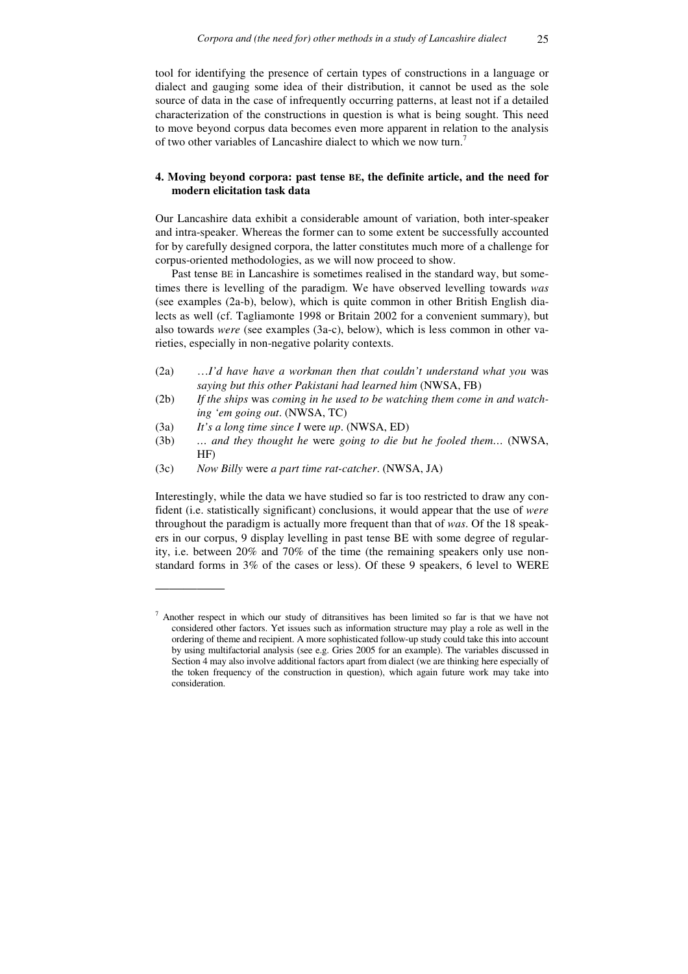tool for identifying the presence of certain types of constructions in a language or dialect and gauging some idea of their distribution, it cannot be used as the sole source of data in the case of infrequently occurring patterns, at least not if a detailed characterization of the constructions in question is what is being sought. This need to move beyond corpus data becomes even more apparent in relation to the analysis of two other variables of Lancashire dialect to which we now turn.<sup>7</sup>

## **4. Moving beyond corpora: past tense BE, the definite article, and the need for modern elicitation task data**

Our Lancashire data exhibit a considerable amount of variation, both inter-speaker and intra-speaker. Whereas the former can to some extent be successfully accounted for by carefully designed corpora, the latter constitutes much more of a challenge for corpus-oriented methodologies, as we will now proceed to show.

Past tense BE in Lancashire is sometimes realised in the standard way, but sometimes there is levelling of the paradigm. We have observed levelling towards *was* (see examples (2a-b), below), which is quite common in other British English dialects as well (cf. Tagliamonte 1998 or Britain 2002 for a convenient summary), but also towards *were* (see examples (3a-c), below), which is less common in other varieties, especially in non-negative polarity contexts.

- (2a) …*I'd have have a workman then that couldn't understand what you* was *saying but this other Pakistani had learned him* (NWSA, FB)
- (2b) *If the ships* was *coming in he used to be watching them come in and watching 'em going out*. (NWSA, TC)
- (3a) *It's a long time since I* were *up*. (NWSA, ED)

—————

- (3b) *… and they thought he* were *going to die but he fooled them…* (NWSA, HF)
- (3c) *Now Billy* were *a part time rat-catcher*. (NWSA, JA)

Interestingly, while the data we have studied so far is too restricted to draw any confident (i.e. statistically significant) conclusions, it would appear that the use of *were* throughout the paradigm is actually more frequent than that of *was*. Of the 18 speakers in our corpus, 9 display levelling in past tense BE with some degree of regularity, i.e. between 20% and 70% of the time (the remaining speakers only use nonstandard forms in 3% of the cases or less). Of these 9 speakers, 6 level to WERE

 $<sup>7</sup>$  Another respect in which our study of ditransitives has been limited so far is that we have not</sup> considered other factors. Yet issues such as information structure may play a role as well in the ordering of theme and recipient. A more sophisticated follow-up study could take this into account by using multifactorial analysis (see e.g. Gries 2005 for an example). The variables discussed in Section 4 may also involve additional factors apart from dialect (we are thinking here especially of the token frequency of the construction in question), which again future work may take into consideration.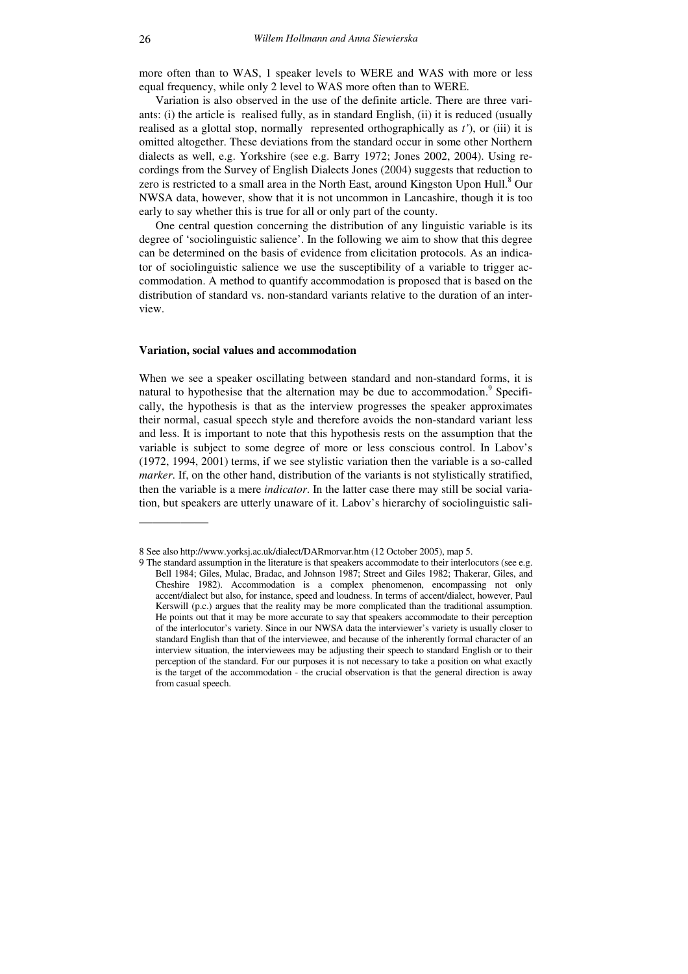more often than to WAS, 1 speaker levels to WERE and WAS with more or less equal frequency, while only 2 level to WAS more often than to WERE.

Variation is also observed in the use of the definite article. There are three variants: (i) the article is realised fully, as in standard English, (ii) it is reduced (usually realised as a glottal stop, normally represented orthographically as *t'*), or (iii) it is omitted altogether. These deviations from the standard occur in some other Northern dialects as well, e.g. Yorkshire (see e.g. Barry 1972; Jones 2002, 2004). Using recordings from the Survey of English Dialects Jones (2004) suggests that reduction to zero is restricted to a small area in the North East, around Kingston Upon Hull.<sup>8</sup> Our NWSA data, however, show that it is not uncommon in Lancashire, though it is too early to say whether this is true for all or only part of the county.

One central question concerning the distribution of any linguistic variable is its degree of 'sociolinguistic salience'. In the following we aim to show that this degree can be determined on the basis of evidence from elicitation protocols. As an indicator of sociolinguistic salience we use the susceptibility of a variable to trigger accommodation. A method to quantify accommodation is proposed that is based on the distribution of standard vs. non-standard variants relative to the duration of an interview.

#### **Variation, social values and accommodation**

—————

When we see a speaker oscillating between standard and non-standard forms, it is natural to hypothesise that the alternation may be due to accommodation.<sup>9</sup> Specifically, the hypothesis is that as the interview progresses the speaker approximates their normal, casual speech style and therefore avoids the non-standard variant less and less. It is important to note that this hypothesis rests on the assumption that the variable is subject to some degree of more or less conscious control. In Labov's (1972, 1994, 2001) terms, if we see stylistic variation then the variable is a so-called *marker*. If, on the other hand, distribution of the variants is not stylistically stratified, then the variable is a mere *indicator*. In the latter case there may still be social variation, but speakers are utterly unaware of it. Labov's hierarchy of sociolinguistic sali-

<sup>8</sup> See also http://www.yorksj.ac.uk/dialect/DARmorvar.htm (12 October 2005), map 5.

<sup>9</sup> The standard assumption in the literature is that speakers accommodate to their interlocutors (see e.g. Bell 1984; Giles, Mulac, Bradac, and Johnson 1987; Street and Giles 1982; Thakerar, Giles, and Cheshire 1982). Accommodation is a complex phenomenon, encompassing not only accent/dialect but also, for instance, speed and loudness. In terms of accent/dialect, however, Paul Kerswill (p.c.) argues that the reality may be more complicated than the traditional assumption. He points out that it may be more accurate to say that speakers accommodate to their perception of the interlocutor's variety. Since in our NWSA data the interviewer's variety is usually closer to standard English than that of the interviewee, and because of the inherently formal character of an interview situation, the interviewees may be adjusting their speech to standard English or to their perception of the standard. For our purposes it is not necessary to take a position on what exactly is the target of the accommodation - the crucial observation is that the general direction is away from casual speech.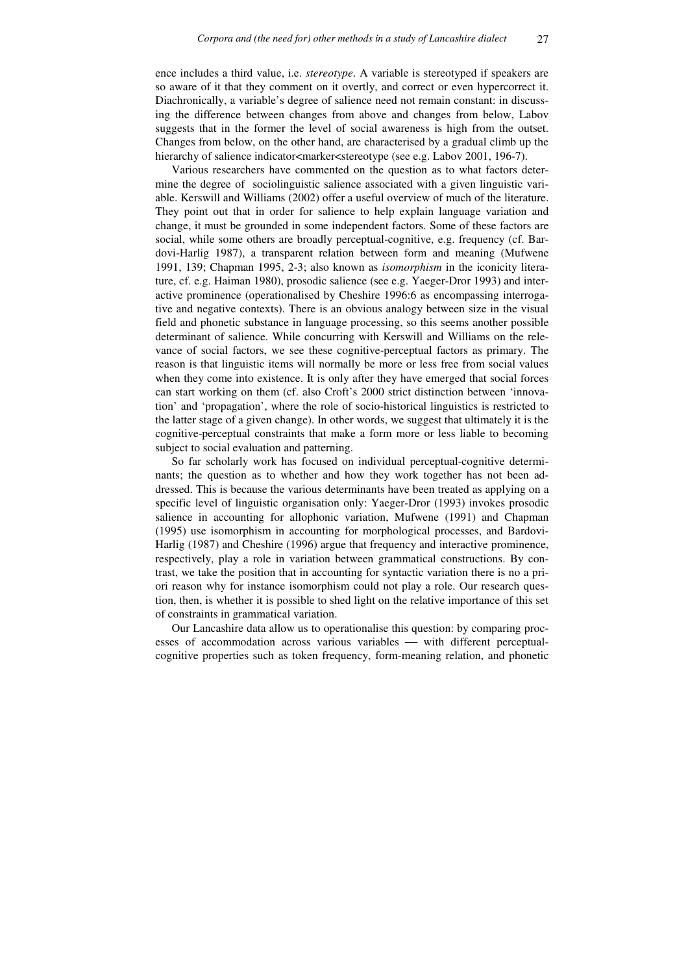ence includes a third value, i.e. *stereotype*. A variable is stereotyped if speakers are so aware of it that they comment on it overtly, and correct or even hypercorrect it. Diachronically, a variable's degree of salience need not remain constant: in discussing the difference between changes from above and changes from below, Labov suggests that in the former the level of social awareness is high from the outset. Changes from below, on the other hand, are characterised by a gradual climb up the hierarchy of salience indicator<marker<stereotype (see e.g. Labov 2001, 196-7).

Various researchers have commented on the question as to what factors determine the degree of sociolinguistic salience associated with a given linguistic variable. Kerswill and Williams (2002) offer a useful overview of much of the literature. They point out that in order for salience to help explain language variation and change, it must be grounded in some independent factors. Some of these factors are social, while some others are broadly perceptual-cognitive, e.g. frequency (cf. Bardovi-Harlig 1987), a transparent relation between form and meaning (Mufwene 1991, 139; Chapman 1995, 2-3; also known as *isomorphism* in the iconicity literature, cf. e.g. Haiman 1980), prosodic salience (see e.g. Yaeger-Dror 1993) and interactive prominence (operationalised by Cheshire 1996:6 as encompassing interrogative and negative contexts). There is an obvious analogy between size in the visual field and phonetic substance in language processing, so this seems another possible determinant of salience. While concurring with Kerswill and Williams on the relevance of social factors, we see these cognitive-perceptual factors as primary. The reason is that linguistic items will normally be more or less free from social values when they come into existence. It is only after they have emerged that social forces can start working on them (cf. also Croft's 2000 strict distinction between 'innovation' and 'propagation', where the role of socio-historical linguistics is restricted to the latter stage of a given change). In other words, we suggest that ultimately it is the cognitive-perceptual constraints that make a form more or less liable to becoming subject to social evaluation and patterning.

So far scholarly work has focused on individual perceptual-cognitive determinants; the question as to whether and how they work together has not been addressed. This is because the various determinants have been treated as applying on a specific level of linguistic organisation only: Yaeger-Dror (1993) invokes prosodic salience in accounting for allophonic variation, Mufwene (1991) and Chapman (1995) use isomorphism in accounting for morphological processes, and Bardovi-Harlig (1987) and Cheshire (1996) argue that frequency and interactive prominence, respectively, play a role in variation between grammatical constructions. By contrast, we take the position that in accounting for syntactic variation there is no a priori reason why for instance isomorphism could not play a role. Our research question, then, is whether it is possible to shed light on the relative importance of this set of constraints in grammatical variation.

Our Lancashire data allow us to operationalise this question: by comparing processes of accommodation across various variables - with different perceptualcognitive properties such as token frequency, form-meaning relation, and phonetic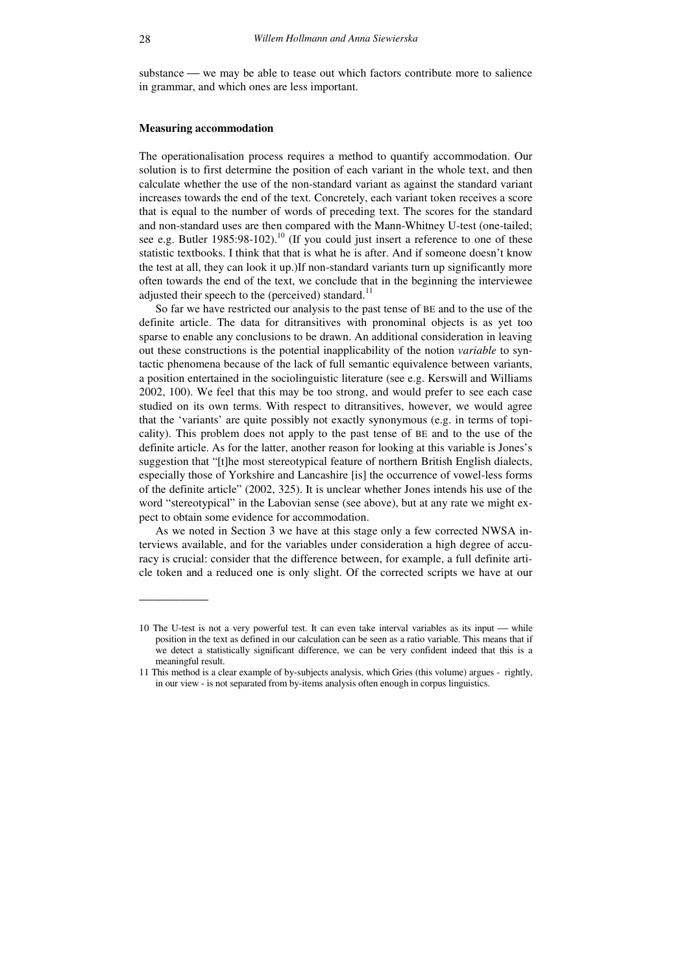substance  $-\omega$  we may be able to tease out which factors contribute more to salience in grammar, and which ones are less important.

#### **Measuring accommodation**

—————

The operationalisation process requires a method to quantify accommodation. Our solution is to first determine the position of each variant in the whole text, and then calculate whether the use of the non-standard variant as against the standard variant increases towards the end of the text. Concretely, each variant token receives a score that is equal to the number of words of preceding text. The scores for the standard and non-standard uses are then compared with the Mann-Whitney U-test (one-tailed; see e.g. Butler  $1985:98-102$ ).<sup>10</sup> (If you could just insert a reference to one of these statistic textbooks. I think that that is what he is after. And if someone doesn't know the test at all, they can look it up.)If non-standard variants turn up significantly more often towards the end of the text, we conclude that in the beginning the interviewee adjusted their speech to the (perceived) standard.<sup>11</sup>

So far we have restricted our analysis to the past tense of BE and to the use of the definite article. The data for ditransitives with pronominal objects is as yet too sparse to enable any conclusions to be drawn. An additional consideration in leaving out these constructions is the potential inapplicability of the notion *variable* to syntactic phenomena because of the lack of full semantic equivalence between variants, a position entertained in the sociolinguistic literature (see e.g. Kerswill and Williams 2002, 100). We feel that this may be too strong, and would prefer to see each case studied on its own terms. With respect to ditransitives, however, we would agree that the 'variants' are quite possibly not exactly synonymous (e.g. in terms of topicality). This problem does not apply to the past tense of BE and to the use of the definite article. As for the latter, another reason for looking at this variable is Jones's suggestion that "[t]he most stereotypical feature of northern British English dialects, especially those of Yorkshire and Lancashire [is] the occurrence of vowel-less forms of the definite article" (2002, 325). It is unclear whether Jones intends his use of the word "stereotypical" in the Labovian sense (see above), but at any rate we might expect to obtain some evidence for accommodation.

As we noted in Section 3 we have at this stage only a few corrected NWSA interviews available, and for the variables under consideration a high degree of accuracy is crucial: consider that the difference between, for example, a full definite article token and a reduced one is only slight. Of the corrected scripts we have at our

<sup>10</sup> The U-test is not a very powerful test. It can even take interval variables as its input — while position in the text as defined in our calculation can be seen as a ratio variable. This means that if we detect a statistically significant difference, we can be very confident indeed that this is a meaningful result.

<sup>11</sup> This method is a clear example of by-subjects analysis, which Gries (this volume) argues - rightly, in our view - is not separated from by-items analysis often enough in corpus linguistics.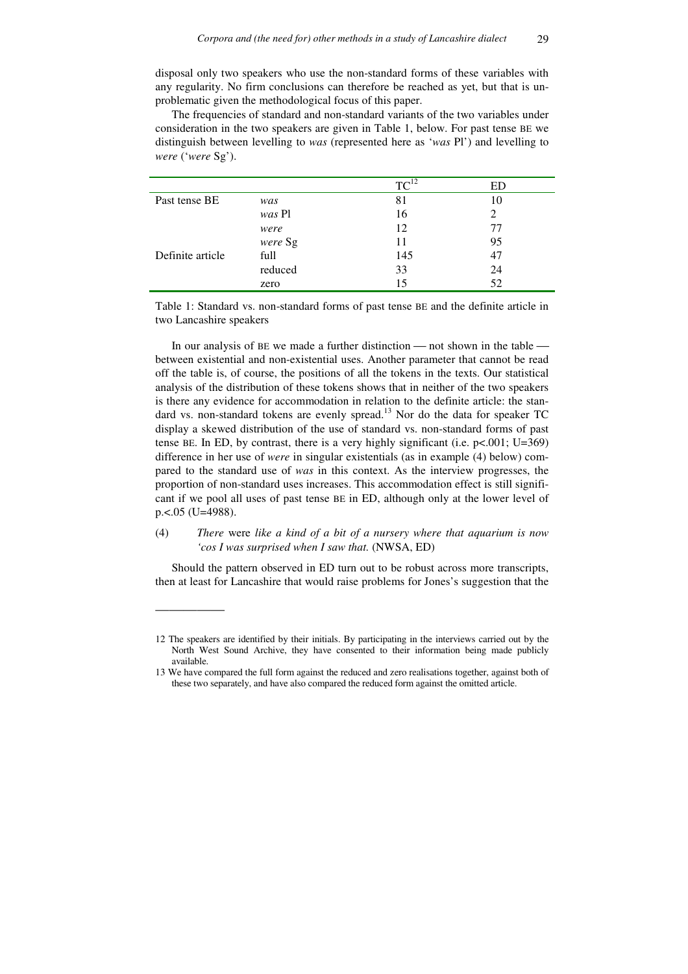disposal only two speakers who use the non-standard forms of these variables with any regularity. No firm conclusions can therefore be reached as yet, but that is unproblematic given the methodological focus of this paper.

The frequencies of standard and non-standard variants of the two variables under consideration in the two speakers are given in Table 1, below. For past tense BE we distinguish between levelling to *was* (represented here as '*was* Pl') and levelling to *were* ('*were* Sg').

|                  |         | $TC^{12}$ | ED |
|------------------|---------|-----------|----|
| Past tense BE    | was     | 81        | 10 |
|                  | was Pl  | 16        | 2  |
|                  | were    | 12        | 77 |
|                  | were Sg | 11        | 95 |
| Definite article | full    | 145       | 47 |
|                  | reduced | 33        | 24 |
|                  | zero    | 15        | 52 |

Table 1: Standard vs. non-standard forms of past tense BE and the definite article in two Lancashire speakers

In our analysis of BE we made a further distinction  $-$  not shown in the table  $$ between existential and non-existential uses. Another parameter that cannot be read off the table is, of course, the positions of all the tokens in the texts. Our statistical analysis of the distribution of these tokens shows that in neither of the two speakers is there any evidence for accommodation in relation to the definite article: the standard vs. non-standard tokens are evenly spread.<sup>13</sup> Nor do the data for speaker TC display a skewed distribution of the use of standard vs. non-standard forms of past tense BE. In ED, by contrast, there is a very highly significant (i.e.  $p<.001$ ; U=369) difference in her use of *were* in singular existentials (as in example (4) below) compared to the standard use of *was* in this context. As the interview progresses, the proportion of non-standard uses increases. This accommodation effect is still significant if we pool all uses of past tense BE in ED, although only at the lower level of p.<.05 (U=4988).

## (4) *There* were *like a kind of a bit of a nursery where that aquarium is now 'cos I was surprised when I saw that.* (NWSA, ED)

Should the pattern observed in ED turn out to be robust across more transcripts, then at least for Lancashire that would raise problems for Jones's suggestion that the

—————

<sup>12</sup> The speakers are identified by their initials. By participating in the interviews carried out by the North West Sound Archive, they have consented to their information being made publicly available.

<sup>13</sup> We have compared the full form against the reduced and zero realisations together, against both of these two separately, and have also compared the reduced form against the omitted article.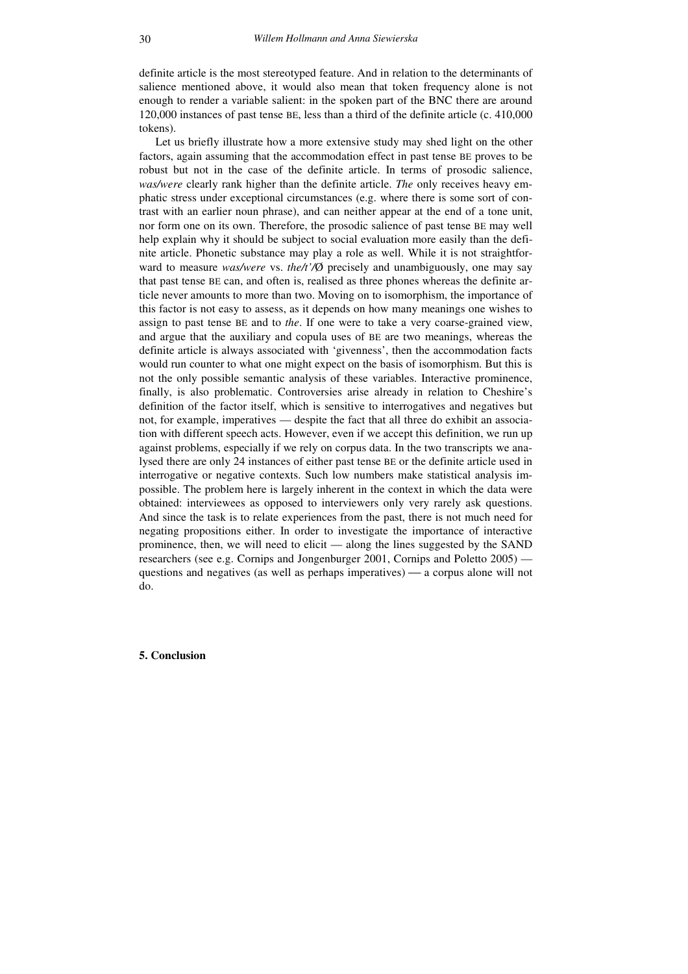definite article is the most stereotyped feature. And in relation to the determinants of salience mentioned above, it would also mean that token frequency alone is not enough to render a variable salient: in the spoken part of the BNC there are around 120,000 instances of past tense BE, less than a third of the definite article (c. 410,000 tokens).

Let us briefly illustrate how a more extensive study may shed light on the other factors, again assuming that the accommodation effect in past tense BE proves to be robust but not in the case of the definite article. In terms of prosodic salience, *was/were* clearly rank higher than the definite article. *The* only receives heavy emphatic stress under exceptional circumstances (e.g. where there is some sort of contrast with an earlier noun phrase), and can neither appear at the end of a tone unit, nor form one on its own. Therefore, the prosodic salience of past tense BE may well help explain why it should be subject to social evaluation more easily than the definite article. Phonetic substance may play a role as well. While it is not straightforward to measure *was/were* vs. *the/t'/*Ø precisely and unambiguously, one may say that past tense BE can, and often is, realised as three phones whereas the definite article never amounts to more than two. Moving on to isomorphism, the importance of this factor is not easy to assess, as it depends on how many meanings one wishes to assign to past tense BE and to *the*. If one were to take a very coarse-grained view, and argue that the auxiliary and copula uses of BE are two meanings, whereas the definite article is always associated with 'givenness', then the accommodation facts would run counter to what one might expect on the basis of isomorphism. But this is not the only possible semantic analysis of these variables. Interactive prominence, finally, is also problematic. Controversies arise already in relation to Cheshire's definition of the factor itself, which is sensitive to interrogatives and negatives but not, for example, imperatives — despite the fact that all three do exhibit an association with different speech acts. However, even if we accept this definition, we run up against problems, especially if we rely on corpus data. In the two transcripts we analysed there are only 24 instances of either past tense BE or the definite article used in interrogative or negative contexts. Such low numbers make statistical analysis impossible. The problem here is largely inherent in the context in which the data were obtained: interviewees as opposed to interviewers only very rarely ask questions. And since the task is to relate experiences from the past, there is not much need for negating propositions either. In order to investigate the importance of interactive prominence, then, we will need to elicit — along the lines suggested by the SAND researchers (see e.g. Cornips and Jongenburger 2001, Cornips and Poletto 2005) questions and negatives (as well as perhaps imperatives)  $-$  a corpus alone will not do.

## **5. Conclusion**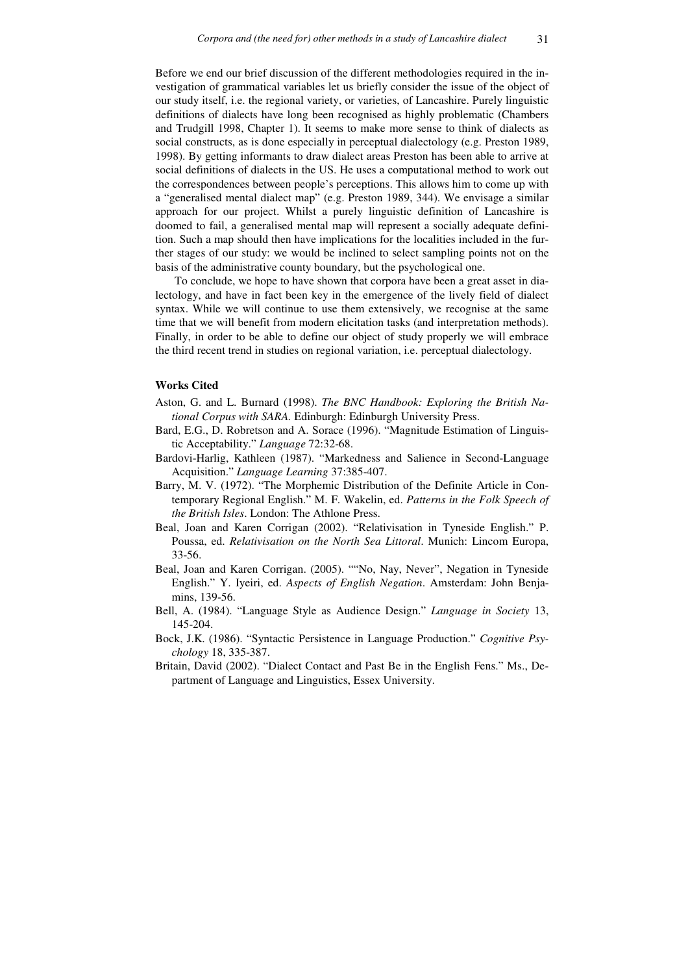Before we end our brief discussion of the different methodologies required in the investigation of grammatical variables let us briefly consider the issue of the object of our study itself, i.e. the regional variety, or varieties, of Lancashire. Purely linguistic definitions of dialects have long been recognised as highly problematic (Chambers and Trudgill 1998, Chapter 1). It seems to make more sense to think of dialects as social constructs, as is done especially in perceptual dialectology (e.g. Preston 1989, 1998). By getting informants to draw dialect areas Preston has been able to arrive at social definitions of dialects in the US. He uses a computational method to work out the correspondences between people's perceptions. This allows him to come up with a "generalised mental dialect map" (e.g. Preston 1989, 344). We envisage a similar approach for our project. Whilst a purely linguistic definition of Lancashire is doomed to fail, a generalised mental map will represent a socially adequate definition. Such a map should then have implications for the localities included in the further stages of our study: we would be inclined to select sampling points not on the basis of the administrative county boundary, but the psychological one.

To conclude, we hope to have shown that corpora have been a great asset in dialectology, and have in fact been key in the emergence of the lively field of dialect syntax. While we will continue to use them extensively, we recognise at the same time that we will benefit from modern elicitation tasks (and interpretation methods). Finally, in order to be able to define our object of study properly we will embrace the third recent trend in studies on regional variation, i.e. perceptual dialectology.

#### **Works Cited**

- Aston, G. and L. Burnard (1998). *The BNC Handbook: Exploring the British National Corpus with SARA.* Edinburgh: Edinburgh University Press.
- Bard, E.G., D. Robretson and A. Sorace (1996). "Magnitude Estimation of Linguistic Acceptability." *Language* 72:32-68.
- Bardovi-Harlig, Kathleen (1987). "Markedness and Salience in Second-Language Acquisition." *Language Learning* 37:385-407.
- Barry, M. V. (1972). "The Morphemic Distribution of the Definite Article in Contemporary Regional English." M. F. Wakelin, ed. *Patterns in the Folk Speech of the British Isles*. London: The Athlone Press.
- Beal, Joan and Karen Corrigan (2002). "Relativisation in Tyneside English." P. Poussa, ed. *Relativisation on the North Sea Littoral*. Munich: Lincom Europa, 33-56.
- Beal, Joan and Karen Corrigan. (2005). ""No, Nay, Never", Negation in Tyneside English." Y. Iyeiri, ed. *Aspects of English Negation*. Amsterdam: John Benjamins, 139-56.
- Bell, A. (1984). "Language Style as Audience Design." *Language in Society* 13, 145-204.
- Bock, J.K. (1986). "Syntactic Persistence in Language Production." *Cognitive Psychology* 18, 335-387.
- Britain, David (2002). "Dialect Contact and Past Be in the English Fens." Ms., Department of Language and Linguistics, Essex University.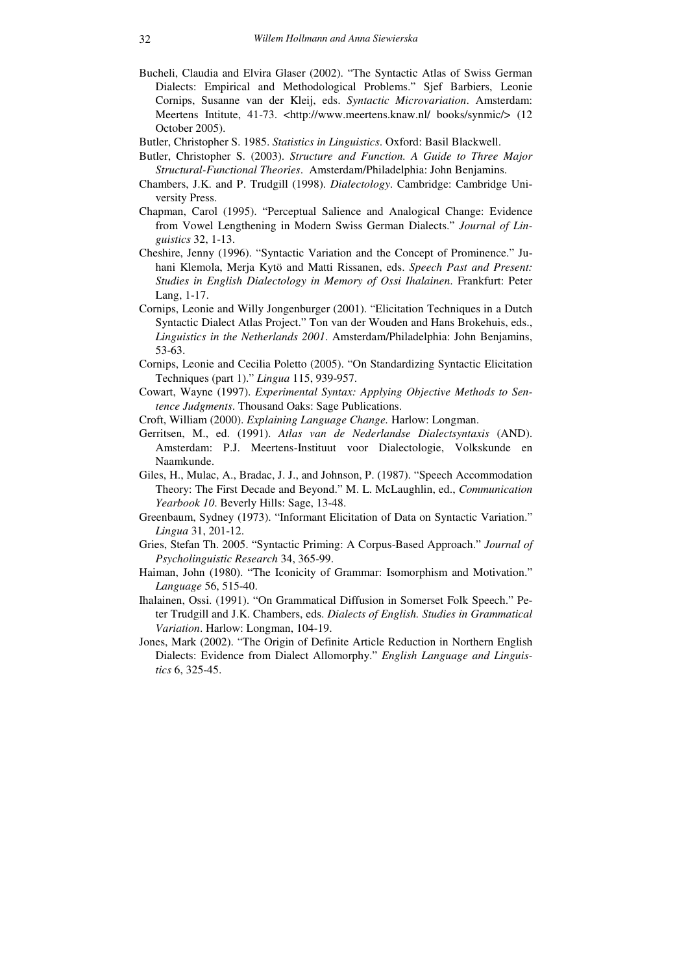- Bucheli, Claudia and Elvira Glaser (2002). "The Syntactic Atlas of Swiss German Dialects: Empirical and Methodological Problems." Sjef Barbiers, Leonie Cornips, Susanne van der Kleij, eds. *Syntactic Microvariation*. Amsterdam: Meertens Intitute, 41-73. <http://www.meertens.knaw.nl/ books/synmic/> (12) October 2005).
- Butler, Christopher S. 1985. *Statistics in Linguistics*. Oxford: Basil Blackwell.
- Butler, Christopher S. (2003). *Structure and Function. A Guide to Three Major Structural-Functional Theories*. Amsterdam/Philadelphia: John Benjamins.
- Chambers, J.K. and P. Trudgill (1998). *Dialectology*. Cambridge: Cambridge University Press.
- Chapman, Carol (1995). "Perceptual Salience and Analogical Change: Evidence from Vowel Lengthening in Modern Swiss German Dialects." *Journal of Linguistics* 32, 1-13.
- Cheshire, Jenny (1996). "Syntactic Variation and the Concept of Prominence." Juhani Klemola, Merja Kytö and Matti Rissanen, eds. *Speech Past and Present: Studies in English Dialectology in Memory of Ossi Ihalainen*. Frankfurt: Peter Lang, 1-17.
- Cornips, Leonie and Willy Jongenburger (2001). "Elicitation Techniques in a Dutch Syntactic Dialect Atlas Project." Ton van der Wouden and Hans Brokehuis, eds., *Linguistics in the Netherlands 2001*. Amsterdam/Philadelphia: John Benjamins, 53-63.
- Cornips, Leonie and Cecilia Poletto (2005). "On Standardizing Syntactic Elicitation Techniques (part 1)." *Lingua* 115, 939-957.
- Cowart, Wayne (1997). *Experimental Syntax: Applying Objective Methods to Sentence Judgments*. Thousand Oaks: Sage Publications.
- Croft, William (2000). *Explaining Language Change.* Harlow: Longman.
- Gerritsen, M., ed. (1991). *Atlas van de Nederlandse Dialectsyntaxis* (AND). Amsterdam: P.J. Meertens-Instituut voor Dialectologie, Volkskunde en Naamkunde.
- Giles, H., Mulac, A., Bradac, J. J., and Johnson, P. (1987). "Speech Accommodation Theory: The First Decade and Beyond." M. L. McLaughlin, ed., *Communication Yearbook 10*. Beverly Hills: Sage, 13-48.
- Greenbaum, Sydney (1973). "Informant Elicitation of Data on Syntactic Variation." *Lingua* 31, 201-12.
- Gries, Stefan Th. 2005. "Syntactic Priming: A Corpus-Based Approach." *Journal of Psycholinguistic Research* 34, 365-99.
- Haiman, John (1980). "The Iconicity of Grammar: Isomorphism and Motivation." *Language* 56, 515-40.
- Ihalainen, Ossi. (1991). "On Grammatical Diffusion in Somerset Folk Speech." Peter Trudgill and J.K. Chambers, eds. *Dialects of English. Studies in Grammatical Variation*. Harlow: Longman, 104-19.
- Jones, Mark (2002). "The Origin of Definite Article Reduction in Northern English Dialects: Evidence from Dialect Allomorphy." *English Language and Linguistics* 6, 325-45.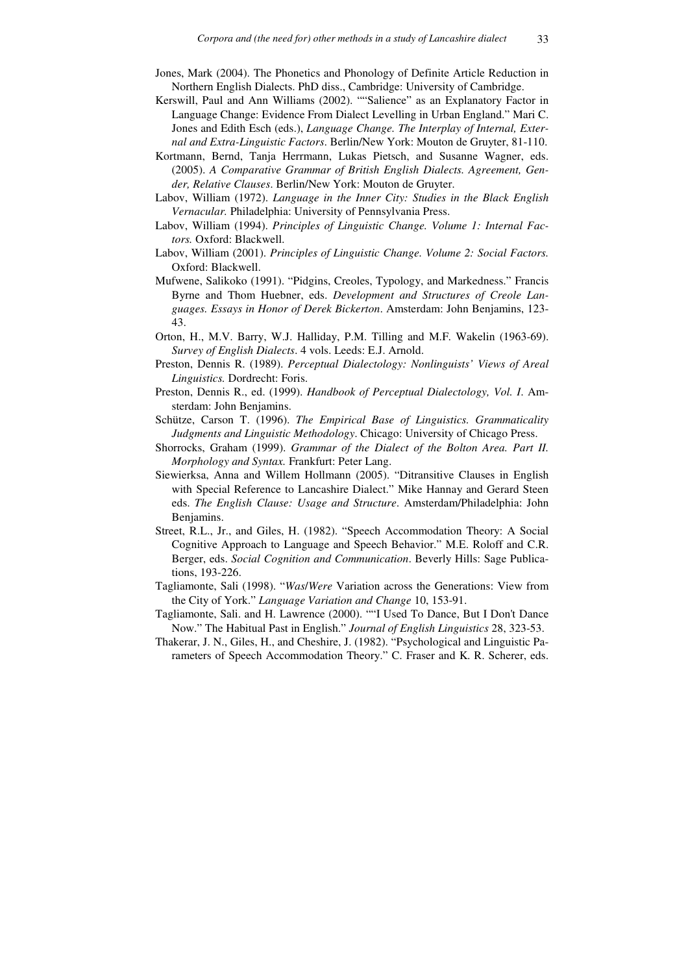- Jones, Mark (2004). The Phonetics and Phonology of Definite Article Reduction in Northern English Dialects. PhD diss., Cambridge: University of Cambridge.
- Kerswill, Paul and Ann Williams (2002). ""Salience" as an Explanatory Factor in Language Change: Evidence From Dialect Levelling in Urban England." Mari C. Jones and Edith Esch (eds.), *Language Change. The Interplay of Internal, External and Extra-Linguistic Factors*. Berlin/New York: Mouton de Gruyter, 81-110.
- Kortmann, Bernd, Tanja Herrmann, Lukas Pietsch, and Susanne Wagner, eds. (2005). *A Comparative Grammar of British English Dialects. Agreement, Gender, Relative Clauses*. Berlin/New York: Mouton de Gruyter.
- Labov, William (1972). *Language in the Inner City: Studies in the Black English Vernacular.* Philadelphia: University of Pennsylvania Press.
- Labov, William (1994). *Principles of Linguistic Change. Volume 1: Internal Factors.* Oxford: Blackwell.
- Labov, William (2001). *Principles of Linguistic Change. Volume 2: Social Factors.* Oxford: Blackwell.
- Mufwene, Salikoko (1991). "Pidgins, Creoles, Typology, and Markedness." Francis Byrne and Thom Huebner, eds. *Development and Structures of Creole Languages. Essays in Honor of Derek Bickerton*. Amsterdam: John Benjamins, 123- 43.
- Orton, H., M.V. Barry, W.J. Halliday, P.M. Tilling and M.F. Wakelin (1963-69). *Survey of English Dialects*. 4 vols. Leeds: E.J. Arnold.
- Preston, Dennis R. (1989). *Perceptual Dialectology: Nonlinguists' Views of Areal Linguistics.* Dordrecht: Foris.
- Preston, Dennis R., ed. (1999). *Handbook of Perceptual Dialectology, Vol. I*. Amsterdam: John Benjamins.
- Schütze, Carson T. (1996). *The Empirical Base of Linguistics. Grammaticality Judgments and Linguistic Methodology*. Chicago: University of Chicago Press.
- Shorrocks, Graham (1999). *Grammar of the Dialect of the Bolton Area. Part II. Morphology and Syntax.* Frankfurt: Peter Lang.
- Siewierksa, Anna and Willem Hollmann (2005). "Ditransitive Clauses in English with Special Reference to Lancashire Dialect." Mike Hannay and Gerard Steen eds. *The English Clause: Usage and Structure*. Amsterdam/Philadelphia: John Benjamins.
- Street, R.L., Jr., and Giles, H. (1982). "Speech Accommodation Theory: A Social Cognitive Approach to Language and Speech Behavior." M.E. Roloff and C.R. Berger, eds. *Social Cognition and Communication*. Beverly Hills: Sage Publications, 193-226.
- Tagliamonte, Sali (1998). "*Was*/*Were* Variation across the Generations: View from the City of York." *Language Variation and Change* 10, 153-91.
- Tagliamonte, Sali. and H. Lawrence (2000). ""I Used To Dance, But I Don't Dance Now." The Habitual Past in English." *Journal of English Linguistics* 28, 323-53.
- Thakerar, J. N., Giles, H., and Cheshire, J. (1982). "Psychological and Linguistic Parameters of Speech Accommodation Theory." C. Fraser and K. R. Scherer, eds.